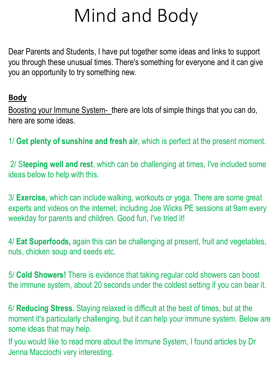## Mind and Body

Dear Parents and Students, I have put together some ideas and links to support you through these unusual times. There's something for everyone and it can give you an opportunity to try something new.

## **Body**

Boosting your Immune System- there are lots of simple things that you can do, here are some ideas.

1/ **Get plenty of sunshine and fresh air**, which is perfect at the present moment.

2/ S**leeping well and rest**, which can be challenging at times, I've included some ideas below to help with this.

3/ **Exercise,** which can include walking, workouts or yoga. There are some great experts and videos on the internet, including Joe Wicks PE sessions at 9am every weekday for parents and children. Good fun, I've tried it!

4/ **Eat Superfoods,** again this can be challenging at present, fruit and vegetables, nuts, chicken soup and seeds etc.

5/ **Cold Showers!** There is evidence that taking regular cold showers can boost the immune system, about 20 seconds under the coldest setting if you can bear it.

6/ **Reducing Stress.** Staying relaxed is difficult at the best of times, but at the moment it's particularly challenging, but it can help your immune system. Below are some ideas that may help.

If you would like to read more about the Immune System, I found articles by Dr Jenna Macciochi very interesting.